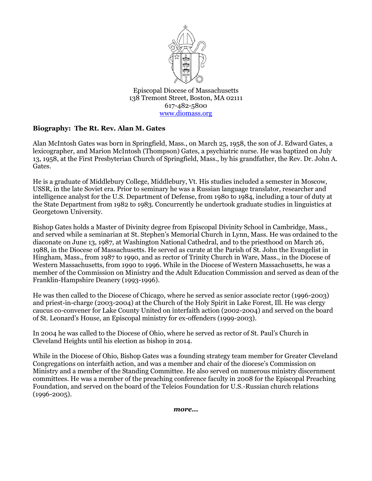

Episcopal Diocese of Massachusetts 138 Tremont Street, Boston, MA 02111 617-482-5800 [www.diomass.org](http://www.diomass.org/)

## **Biography: The Rt. Rev. Alan M. Gates**

Alan McIntosh Gates was born in Springfield, Mass., on March 25, 1958, the son of J. Edward Gates, a lexicographer, and Marion McIntosh (Thompson) Gates, a psychiatric nurse. He was baptized on July 13, 1958, at the First Presbyterian Church of Springfield, Mass., by his grandfather, the Rev. Dr. John A. Gates.

He is a graduate of Middlebury College, Middlebury, Vt. His studies included a semester in Moscow, USSR, in the late Soviet era. Prior to seminary he was a Russian language translator, researcher and intelligence analyst for the U.S. Department of Defense, from 1980 to 1984, including a tour of duty at the State Department from 1982 to 1983. Concurrently he undertook graduate studies in linguistics at Georgetown University.

Bishop Gates holds a Master of Divinity degree from Episcopal Divinity School in Cambridge, Mass., and served while a seminarian at St. Stephen's Memorial Church in Lynn, Mass. He was ordained to the diaconate on June 13, 1987, at Washington National Cathedral, and to the priesthood on March 26, 1988, in the Diocese of Massachusetts. He served as curate at the Parish of St. John the Evangelist in Hingham, Mass., from 1987 to 1990, and as rector of Trinity Church in Ware, Mass., in the Diocese of Western Massachusetts, from 1990 to 1996. While in the Diocese of Western Massachusetts, he was a member of the Commission on Ministry and the Adult Education Commission and served as dean of the Franklin-Hampshire Deanery (1993-1996).

He was then called to the Diocese of Chicago, where he served as senior associate rector (1996-2003) and priest-in-charge (2003-2004) at the Church of the Holy Spirit in Lake Forest, Ill. He was clergy caucus co-convener for Lake County United on interfaith action (2002-2004) and served on the board of St. Leonard's House, an Episcopal ministry for ex-offenders (1999-2003).

In 2004 he was called to the Diocese of Ohio, where he served as rector of St. Paul's Church in Cleveland Heights until his election as bishop in 2014.

While in the Diocese of Ohio, Bishop Gates was a founding strategy team member for Greater Cleveland Congregations on interfaith action, and was a member and chair of the diocese's Commission on Ministry and a member of the Standing Committee. He also served on numerous ministry discernment committees. He was a member of the preaching conference faculty in 2008 for the Episcopal Preaching Foundation, and served on the board of the Teleios Foundation for U.S.-Russian church relations (1996-2005).

*more…*